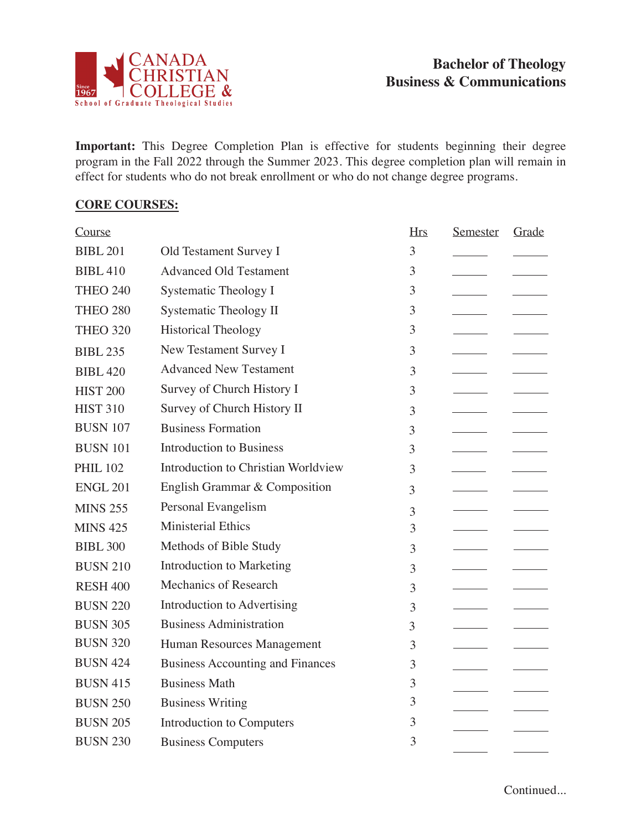

**Important:** This Degree Completion Plan is effective for students beginning their degree program in the Fall 2022 through the Summer 2023. This degree completion plan will remain in effect for students who do not break enrollment or who do not change degree programs.

## **CORE COURSES:**

| Course          |                                         | <b>Hrs</b> | Semester | Grade |
|-----------------|-----------------------------------------|------------|----------|-------|
| <b>BIBL 201</b> | Old Testament Survey I                  | 3          |          |       |
| <b>BIBL 410</b> | <b>Advanced Old Testament</b>           | 3          |          |       |
| <b>THEO 240</b> | <b>Systematic Theology I</b>            | 3          |          |       |
| <b>THEO 280</b> | <b>Systematic Theology II</b>           | 3          |          |       |
| <b>THEO 320</b> | <b>Historical Theology</b>              | 3          |          |       |
| <b>BIBL 235</b> | New Testament Survey I                  | 3          |          |       |
| <b>BIBL 420</b> | <b>Advanced New Testament</b>           | 3          |          |       |
| <b>HIST 200</b> | Survey of Church History I              | 3          |          |       |
| <b>HIST 310</b> | Survey of Church History II             | 3          |          |       |
| <b>BUSN 107</b> | <b>Business Formation</b>               | 3          |          |       |
| <b>BUSN 101</b> | <b>Introduction to Business</b>         | 3          |          |       |
| <b>PHIL 102</b> | Introduction to Christian Worldview     | 3          |          |       |
| <b>ENGL 201</b> | English Grammar & Composition           | 3          |          |       |
| <b>MINS 255</b> | Personal Evangelism                     | 3          |          |       |
| <b>MINS 425</b> | <b>Ministerial Ethics</b>               | 3          |          |       |
| <b>BIBL 300</b> | Methods of Bible Study                  | 3          |          |       |
| <b>BUSN 210</b> | Introduction to Marketing               | 3          |          |       |
| <b>RESH 400</b> | Mechanics of Research                   | 3          |          |       |
| <b>BUSN 220</b> | Introduction to Advertising             | 3          |          |       |
| <b>BUSN 305</b> | <b>Business Administration</b>          | 3          |          |       |
| <b>BUSN 320</b> | Human Resources Management              | 3          |          |       |
| <b>BUSN 424</b> | <b>Business Accounting and Finances</b> | 3          |          |       |
| <b>BUSN 415</b> | <b>Business Math</b>                    | 3          |          |       |
| <b>BUSN 250</b> | <b>Business Writing</b>                 | 3          |          |       |
| <b>BUSN 205</b> | Introduction to Computers               | 3          |          |       |
| <b>BUSN 230</b> | <b>Business Computers</b>               | 3          |          |       |